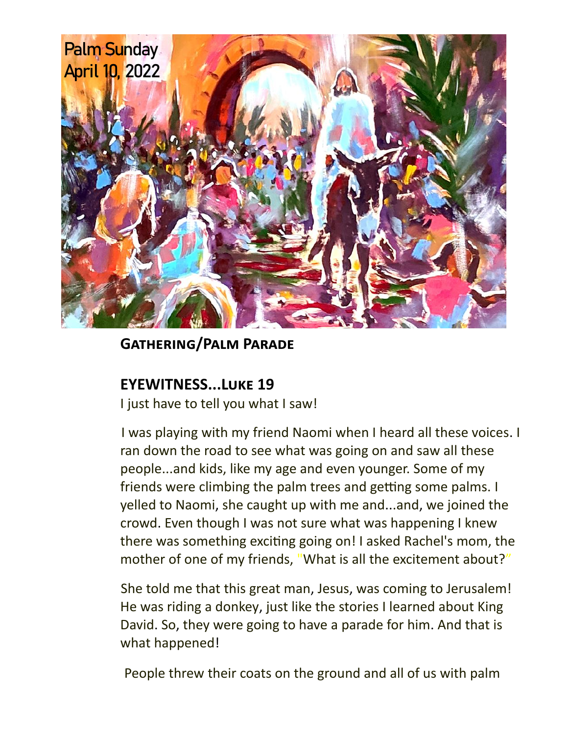

## **Gathering/Palm Parade**

## **EYEWITNESS...Luke 19**

I just have to tell you what I saw!

I was playing with my friend Naomi when I heard all these voices. I ran down the road to see what was going on and saw all these people...and kids, like my age and even younger. Some of my friends were climbing the palm trees and getting some palms. I yelled to Naomi, she caught up with me and...and, we joined the crowd. Even though I was not sure what was happening I knew there was something exciting going on! I asked Rachel's mom, the mother of one of my friends, "What is all the excitement about?"

She told me that this great man, Jesus, was coming to Jerusalem! He was riding a donkey, just like the stories I learned about King David. So, they were going to have a parade for him. And that is what happened!

People threw their coats on the ground and all of us with palm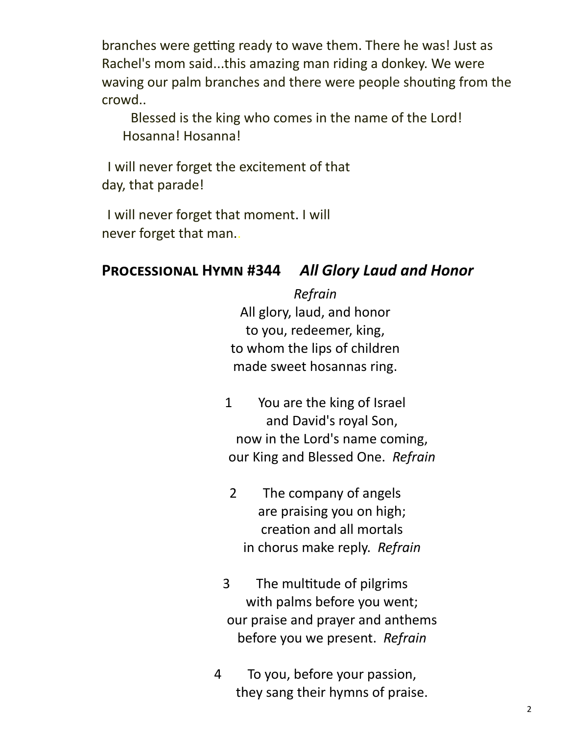branches were getting ready to wave them. There he was! Just as Rachel's mom said...this amazing man riding a donkey. We were waving our palm branches and there were people shouting from the crowd..

Blessed is the king who comes in the name of the Lord! Hosanna! Hosanna!

I will never forget the excitement of that day, that parade!

I will never forget that moment. I will never forget that man..

## **Processional Hymn #344** *All Glory Laud and Honor*

*Refrain* All glory, laud, and honor to you, redeemer, king, to whom the lips of children made sweet hosannas ring.

- 1 You are the king of Israel and David's royal Son, now in the Lord's name coming, our King and Blessed One. *Refrain*
	- 2 The company of angels are praising you on high; creation and all mortals in chorus make reply. *Refrain*
- 3 The multitude of pilgrims with palms before you went; our praise and prayer and anthems before you we present. *Refrain*
- 4 To you, before your passion, they sang their hymns of praise.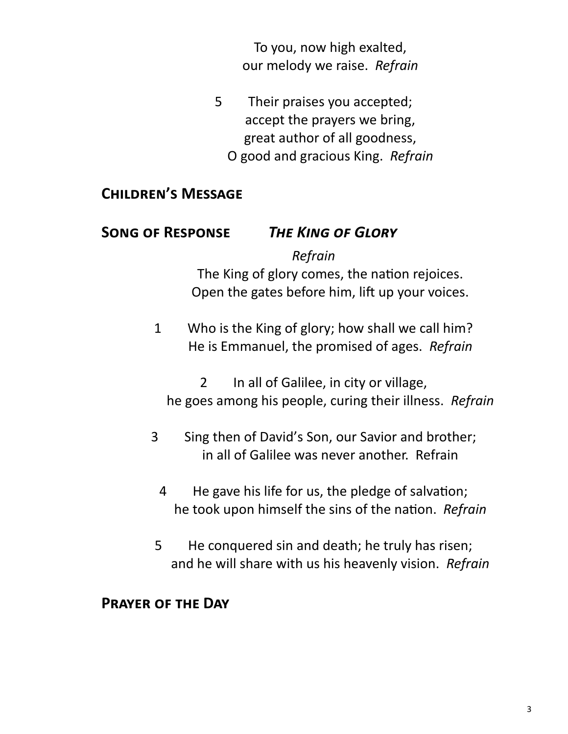To you, now high exalted, our melody we raise. *Refrain*

- 5 Their praises you accepted; accept the prayers we bring, great author of all goodness,
	- O good and gracious King. *Refrain*

## **Children's Message**

## **Song of Response** *The King of Glory*

#### *Refrain*

The King of glory comes, the nation rejoices. Open the gates before him, lift up your voices.

1 Who is the King of glory; how shall we call him? He is Emmanuel, the promised of ages. *Refrain*

2 In all of Galilee, in city or village, he goes among his people, curing their illness. *Refrain*

- 3 Sing then of David's Son, our Savior and brother; in all of Galilee was never another. Refrain
	- 4 He gave his life for us, the pledge of salvation; he took upon himself the sins of the nation. *Refrain*
- 5 He conquered sin and death; he truly has risen; and he will share with us his heavenly vision. *Refrain*

#### **Prayer of the Day**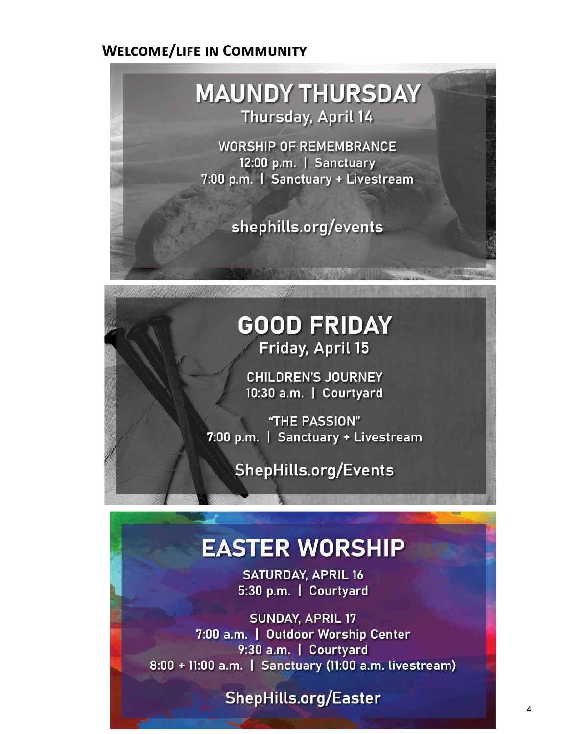#### **Welcome/life in Community**

## **MAUNDY THURSDAY** Thursday, April 14

**WORSHIP OF REMEMBRANCE** 12:00 p.m. | Sanctuary 7:00 p.m. | Sanctuary + Livestream

shephills.org/events

## **GOOD FRIDAY** Friday, April 15

**CHILDREN'S JOURNEY** 10:30 a.m. | Courtyard

"THE PASSION" 7:00 p.m. | Sanctuary + Livestream

**ShepHills.org/Events** 

# **EASTER WORSHIP**

**SATURDAY, APRIL 16** 5:30 p.m. | Courtyard

**SUNDAY, APRIL 17** 7:00 a.m. | Outdoor Worship Center 9:30 a.m. | Courtyard 8:00 + 11:00 a.m. | Sanctuary (11:00 a.m. livestream)

**ShepHills.org/Easter**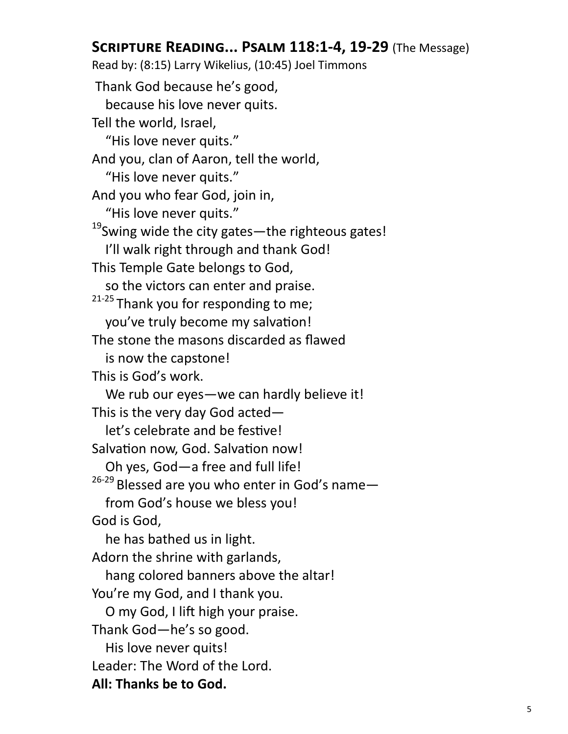## **Scripture Reading... Psalm 118:1-4, 19-29** (The Message)

Read by: (8:15) Larry Wikelius, (10:45) Joel Timmons Thank God because he's good, because his love never quits. Tell the world, Israel, "His love never quits." And you, clan of Aaron, tell the world, "His love never quits." And you who fear God, join in, "His love never quits." <sup>19</sup>Swing wide the city gates—the righteous gates! I'll walk right through and thank God! This Temple Gate belongs to God, so the victors can enter and praise.  $21-25$  Thank you for responding to me; you've truly become my salvation! The stone the masons discarded as flawed is now the capstone! This is God's work. We rub our eyes—we can hardly believe it! This is the very day God acted let's celebrate and be festive! Salvation now, God. Salvation now! Oh yes, God—a free and full life!  $26-29$  Blessed are you who enter in God's name from God's house we bless you! God is God, he has bathed us in light. Adorn the shrine with garlands, hang colored banners above the altar! You're my God, and I thank you. O my God, I lift high your praise. Thank God—he's so good. His love never quits! Leader: The Word of the Lord. **All: Thanks be to God.**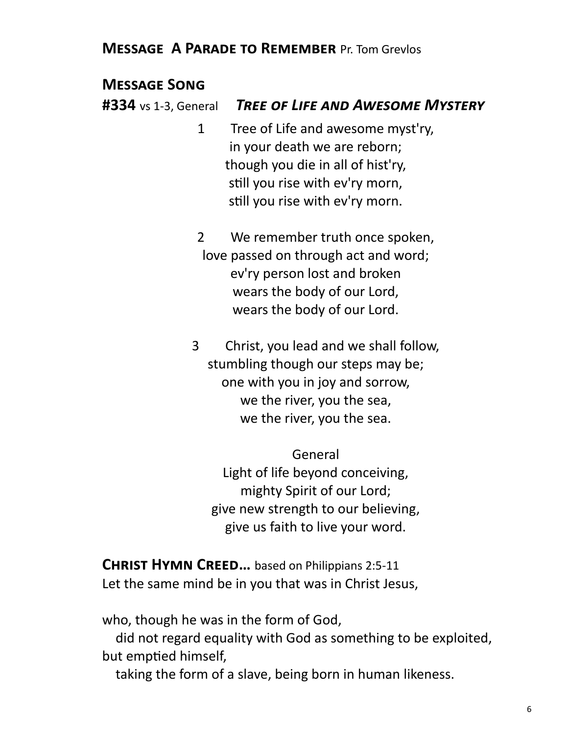#### **Message A Parade to Remember** Pr. Tom Grevlos

#### **Message Song**

**#334** vs 1-3, General *Tree of Life and Awesome Mystery* 

1 Tree of Life and awesome myst'ry, in your death we are reborn; though you die in all of hist'ry, still you rise with ev'ry morn, still you rise with ev'ry morn.

2 We remember truth once spoken, love passed on through act and word; ev'ry person lost and broken wears the body of our Lord, wears the body of our Lord.

3 Christ, you lead and we shall follow, stumbling though our steps may be; one with you in joy and sorrow, we the river, you the sea, we the river, you the sea.

General Light of life beyond conceiving, mighty Spirit of our Lord; give new strength to our believing, give us faith to live your word.

**Christ Hymn Creed…** based on Philippians 2:5-11 Let the same mind be in you that was in Christ Jesus,

who, though he was in the form of God,

 did not regard equality with God as something to be exploited, but emptied himself,

taking the form of a slave, being born in human likeness.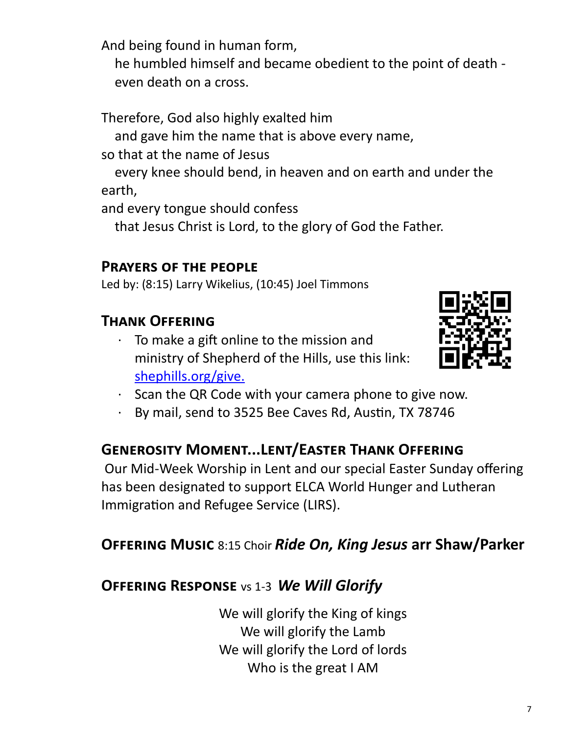And being found in human form,

 he humbled himself and became obedient to the point of death even death on a cross.

Therefore, God also highly exalted him

and gave him the name that is above every name,

so that at the name of Jesus

 every knee should bend, in heaven and on earth and under the earth,

and every tongue should confess

that Jesus Christ is Lord, to the glory of God the Father.

## **Prayers of the people**

Led by: (8:15) Larry Wikelius, (10:45) Joel Timmons

## **Thank Offering**

To make a gift online to the mission and ministry of Shepherd of the Hills, use this link: [shephills.org/give.](https://shephills.org/give/)



- · Scan the QR Code with your camera phone to give now.
- · By mail, send to 3525 Bee Caves Rd, Austin, TX 78746

## **Generosity Moment...Lent/Easter Thank Offering**

Our Mid-Week Worship in Lent and our special Easter Sunday offering has been designated to support ELCA World Hunger and Lutheran Immigration and Refugee Service (LIRS).

## **Offering Music** 8:15 Choir *Ride On, King Jesus* **arr Shaw/Parker**

## **Offering Response** vs 1-3 *We Will Glorify*

We will glorify the King of kings We will glorify the Lamb We will glorify the Lord of lords Who is the great I AM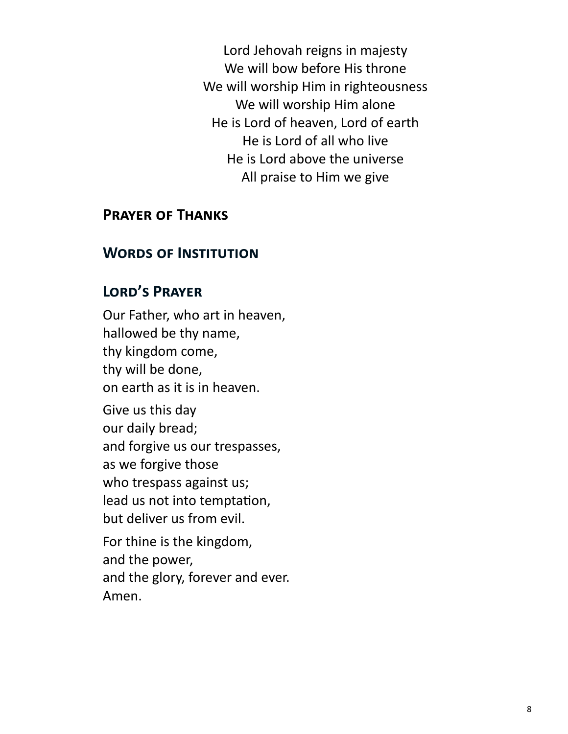Lord Jehovah reigns in majesty We will bow before His throne We will worship Him in righteousness We will worship Him alone He is Lord of heaven, Lord of earth He is Lord of all who live He is Lord above the universe All praise to Him we give

#### **Prayer of Thanks**

#### **Words of Institution**

#### **Lord's Prayer**

Our Father, who art in heaven, hallowed be thy name, thy kingdom come, thy will be done, on earth as it is in heaven.

Give us this day our daily bread; and forgive us our trespasses, as we forgive those who trespass against us; lead us not into temptation, but deliver us from evil.

For thine is the kingdom, and the power, and the glory, forever and ever. Amen.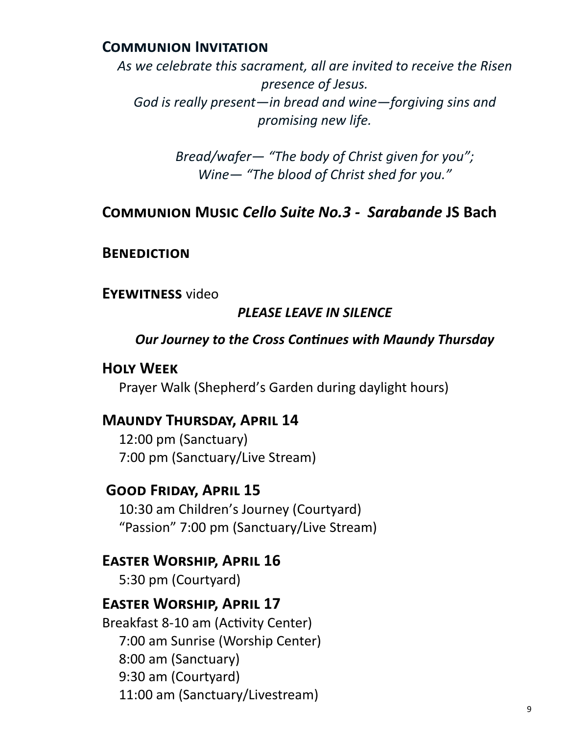#### **Communion Invitation**

*As we celebrate this sacrament, all are invited to receive the Risen presence of Jesus. God is really present—in bread and wine—forgiving sins and promising new life.* 

> *Bread/wafer— "The body of Christ given for you"; Wine— "The blood of Christ shed for you."*

## **Communion Music** *Cello Suite No.3 - Sarabande* **JS Bach**

#### **Benediction**

**Eyewitness** video

#### *PLEASE LEAVE IN SILENCE*

#### *Our Journey to the Cross Continues with Maundy Thursday*

#### **Holy Week**

Prayer Walk (Shepherd's Garden during daylight hours)

#### **Maundy Thursday, April 14**

12:00 pm (Sanctuary) 7:00 pm (Sanctuary/Live Stream)

## **Good Friday, April 15**

10:30 am Children's Journey (Courtyard) "Passion" 7:00 pm (Sanctuary/Live Stream)

#### **Easter Worship, April 16**

5:30 pm (Courtyard)

## **Easter Worship, April 17**

Breakfast 8-10 am (Activity Center) 7:00 am Sunrise (Worship Center) 8:00 am (Sanctuary) 9:30 am (Courtyard) 11:00 am (Sanctuary/Livestream)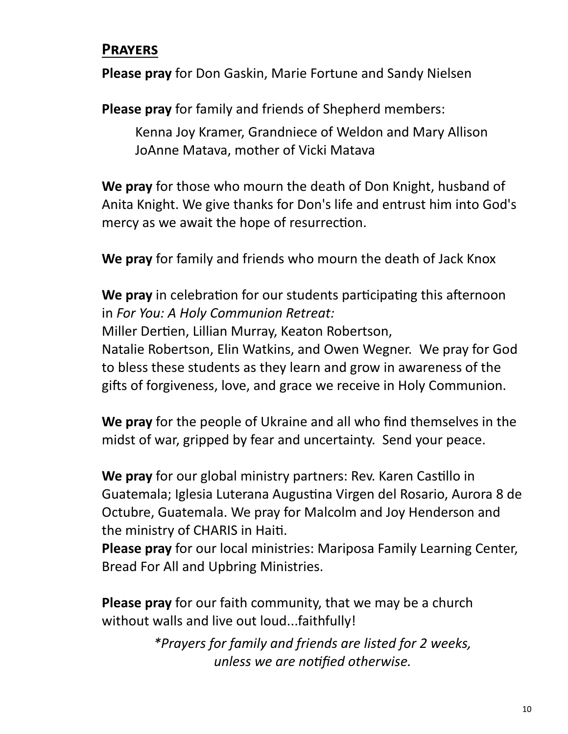## **Prayers**

**Please pray** for Don Gaskin, Marie Fortune and Sandy Nielsen

**Please pray** for family and friends of Shepherd members:

Kenna Joy Kramer, Grandniece of Weldon and Mary Allison JoAnne Matava, mother of Vicki Matava

**We pray** for those who mourn the death of Don Knight, husband of Anita Knight. We give thanks for Don's life and entrust him into God's mercy as we await the hope of resurrection.

**We pray** for family and friends who mourn the death of Jack Knox

**We pray** in celebration for our students participating this afternoon in *For You: A Holy Communion Retreat:*

Miller Dertien, Lillian Murray, Keaton Robertson,

Natalie Robertson, Elin Watkins, and Owen Wegner. We pray for God to bless these students as they learn and grow in awareness of the gifts of forgiveness, love, and grace we receive in Holy Communion.

**We pray** for the people of Ukraine and all who find themselves in the midst of war, gripped by fear and uncertainty. Send your peace.

**We pray** for our global ministry partners: Rev. Karen Castillo in Guatemala; Iglesia Luterana Augustina Virgen del Rosario, Aurora 8 de Octubre, Guatemala. We pray for Malcolm and Joy Henderson and the ministry of CHARIS in Haiti.

**Please pray** for our local ministries: Mariposa Family Learning Center, Bread For All and Upbring Ministries.

**Please pray** for our faith community, that we may be a church without walls and live out loud...faithfully!

> *\*Prayers for family and friends are listed for 2 weeks, unless we are notified otherwise.*